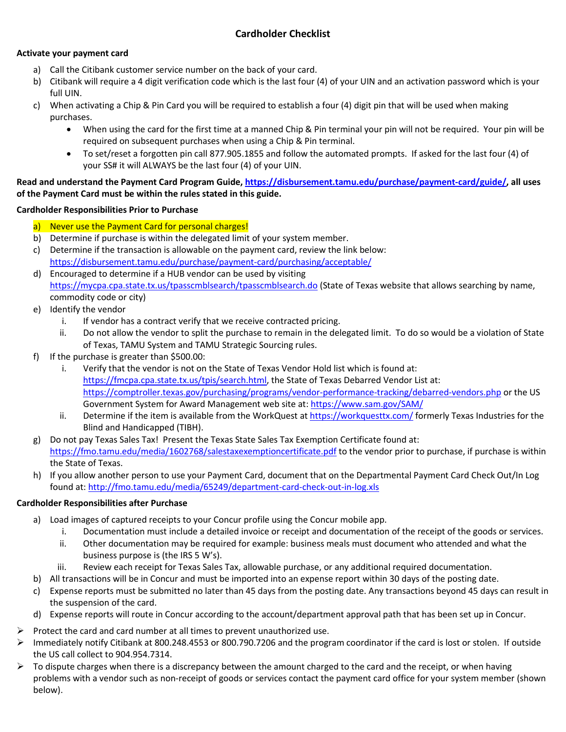## **Activate your payment card**

- a) Call the Citibank customer service number on the back of your card.
- b) Citibank will require a 4 digit verification code which is the last four (4) of your UIN and an activation password which is your full UIN.
- c) When activating a Chip & Pin Card you will be required to establish a four (4) digit pin that will be used when making purchases.
	- When using the card for the first time at a manned Chip & Pin terminal your pin will not be required. Your pin will be required on subsequent purchases when using a Chip & Pin terminal.
	- To set/reset a forgotten pin call 877.905.1855 and follow the automated prompts. If asked for the last four (4) of your SS# it will ALWAYS be the last four (4) of your UIN.

## **Read and understand the Payment Card Program Guide, [https://disbursement.tamu.edu/purchase/payment-card/guide/,](https://disbursement.tamu.edu/purchase/payment-card/guide/) all uses of the Payment Card must be within the rules stated in this guide.**

## **Cardholder Responsibilities Prior to Purchase**

- a) Never use the Payment Card for personal charges!
- b) Determine if purchase is within the delegated limit of your system member.
- c) Determine if the transaction is allowable on the payment card, review the link below: <https://disbursement.tamu.edu/purchase/payment-card/purchasing/acceptable/>
- d) Encouraged to determine if a HUB vendor can be used by visiting <https://mycpa.cpa.state.tx.us/tpasscmblsearch/tpasscmblsearch.do> (State of Texas website that allows searching by name, commodity code or city)
- e) Identify the vendor
	- i. If vendor has a contract verify that we receive contracted pricing.
	- ii. Do not allow the vendor to split the purchase to remain in the delegated limit. To do so would be a violation of State of Texas, TAMU System and TAMU Strategic Sourcing rules.
- f) If the purchase is greater than \$500.00:
	- i. Verify that the vendor is not on the State of Texas Vendor Hold list which is found at: [https://fmcpa.cpa.state.tx.us/tpis/search.html,](https://fmcpa.cpa.state.tx.us/tpis/search.html) the State of Texas Debarred Vendor List at: <https://comptroller.texas.gov/purchasing/programs/vendor-performance-tracking/debarred-vendors.php> or the US Government System for Award Management web site at:<https://www.sam.gov/SAM/>
	- ii. Determine if the item is available from the WorkQuest at <https://workquesttx.com/> formerly Texas Industries for the Blind and Handicapped (TIBH).
- g) Do not pay Texas Sales Tax! Present the Texas State Sales Tax Exemption Certificate found at: <https://fmo.tamu.edu/media/1602768/salestaxexemptioncertificate.pdf> to the vendor prior to purchase, if purchase is within the State of Texas.
- h) If you allow another person to use your Payment Card, document that on the Departmental Payment Card Check Out/In Log found at[: http://fmo.tamu.edu/media/65249/department-card-check-out-in-log.xls](http://fmo.tamu.edu/media/65249/department-card-check-out-in-log.xls)

## **Cardholder Responsibilities after Purchase**

- a) Load images of captured receipts to your Concur profile using the Concur mobile app.
	- i. Documentation must include a detailed invoice or receipt and documentation of the receipt of the goods or services.
	- ii. Other documentation may be required for example: business meals must document who attended and what the business purpose is (the IRS 5 W's).
	- iii. Review each receipt for Texas Sales Tax, allowable purchase, or any additional required documentation.
- b) All transactions will be in Concur and must be imported into an expense report within 30 days of the posting date.
- c) Expense reports must be submitted no later than 45 days from the posting date. Any transactions beyond 45 days can result in the suspension of the card.
- d) Expense reports will route in Concur according to the account/department approval path that has been set up in Concur.
- $\triangleright$  Protect the card and card number at all times to prevent unauthorized use.
- $\triangleright$  Immediately notify Citibank at 800.248.4553 or 800.790.7206 and the program coordinator if the card is lost or stolen. If outside the US call collect to 904.954.7314.
- $\triangleright$  To dispute charges when there is a discrepancy between the amount charged to the card and the receipt, or when having problems with a vendor such as non-receipt of goods or services contact the payment card office for your system member (shown below).